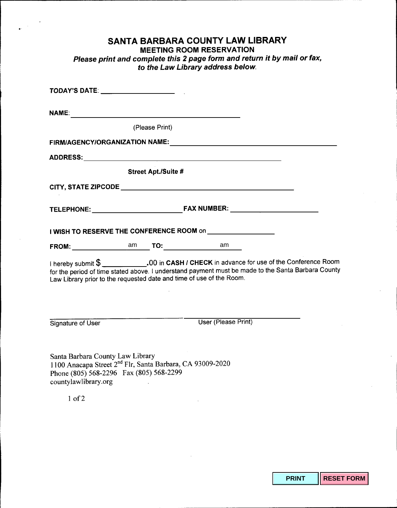## **SANTA BARBARA COUNTY LAW LIBRARY**

## **MEETING ROOM RESERVATION**

*Please print and complete this* **2** *page form and return it by mail or fax,* **to** *the Law Library address below.*

| <b>NAME:</b>                                                                                                                                                                 |                            |                                                                                                    |  |
|------------------------------------------------------------------------------------------------------------------------------------------------------------------------------|----------------------------|----------------------------------------------------------------------------------------------------|--|
|                                                                                                                                                                              | (Please Print)             |                                                                                                    |  |
|                                                                                                                                                                              |                            |                                                                                                    |  |
|                                                                                                                                                                              |                            |                                                                                                    |  |
|                                                                                                                                                                              | <b>Street Apt./Suite #</b> |                                                                                                    |  |
|                                                                                                                                                                              |                            |                                                                                                    |  |
|                                                                                                                                                                              |                            |                                                                                                    |  |
|                                                                                                                                                                              |                            | I WISH TO RESERVE THE CONFERENCE ROOM on <b>FIRM CONSTRUSTED</b>                                   |  |
| FROM: am                                                                                                                                                                     |                            | <b>TO:__________________________</b><br>am                                                         |  |
| Law Library prior to the requested date and time of use of the Room.                                                                                                         |                            | for the period of time stated above. I understand payment must be made to the Santa Barbara County |  |
| Signature of User                                                                                                                                                            |                            | User (Please Print)                                                                                |  |
| Santa Barbara County Law Library<br>1100 Anacapa Street 2 <sup>nd</sup> Flr, Santa Barbara, CA 93009-2020<br>Phone (805) 568-2296 Fax (805) 568-2299<br>countylawlibrary.org |                            |                                                                                                    |  |
| $1$ of $2$                                                                                                                                                                   |                            |                                                                                                    |  |

**PRINT RESET FORM**